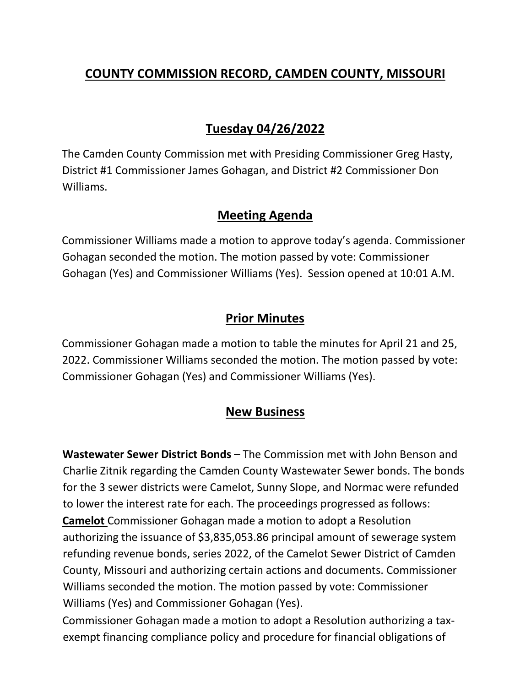## **COUNTY COMMISSION RECORD, CAMDEN COUNTY, MISSOURI**

# **Tuesday 04/26/2022**

The Camden County Commission met with Presiding Commissioner Greg Hasty, District #1 Commissioner James Gohagan, and District #2 Commissioner Don Williams.

#### **Meeting Agenda**

Commissioner Williams made a motion to approve today's agenda. Commissioner Gohagan seconded the motion. The motion passed by vote: Commissioner Gohagan (Yes) and Commissioner Williams (Yes). Session opened at 10:01 A.M.

### **Prior Minutes**

Commissioner Gohagan made a motion to table the minutes for April 21 and 25, 2022. Commissioner Williams seconded the motion. The motion passed by vote: Commissioner Gohagan (Yes) and Commissioner Williams (Yes).

#### **New Business**

**Wastewater Sewer District Bonds –** The Commission met with John Benson and Charlie Zitnik regarding the Camden County Wastewater Sewer bonds. The bonds for the 3 sewer districts were Camelot, Sunny Slope, and Normac were refunded to lower the interest rate for each. The proceedings progressed as follows:

**Camelot** Commissioner Gohagan made a motion to adopt a Resolution authorizing the issuance of \$3,835,053.86 principal amount of sewerage system refunding revenue bonds, series 2022, of the Camelot Sewer District of Camden County, Missouri and authorizing certain actions and documents. Commissioner Williams seconded the motion. The motion passed by vote: Commissioner Williams (Yes) and Commissioner Gohagan (Yes).

Commissioner Gohagan made a motion to adopt a Resolution authorizing a taxexempt financing compliance policy and procedure for financial obligations of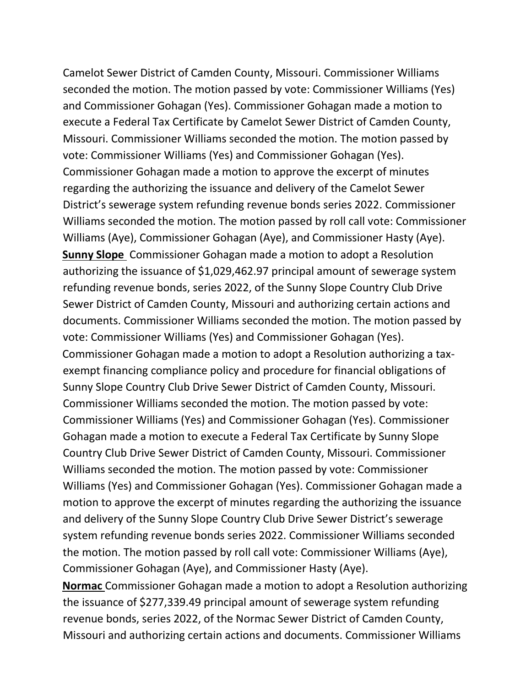Camelot Sewer District of Camden County, Missouri. Commissioner Williams seconded the motion. The motion passed by vote: Commissioner Williams (Yes) and Commissioner Gohagan (Yes). Commissioner Gohagan made a motion to execute a Federal Tax Certificate by Camelot Sewer District of Camden County, Missouri. Commissioner Williams seconded the motion. The motion passed by vote: Commissioner Williams (Yes) and Commissioner Gohagan (Yes). Commissioner Gohagan made a motion to approve the excerpt of minutes regarding the authorizing the issuance and delivery of the Camelot Sewer District's sewerage system refunding revenue bonds series 2022. Commissioner Williams seconded the motion. The motion passed by roll call vote: Commissioner Williams (Aye), Commissioner Gohagan (Aye), and Commissioner Hasty (Aye). **Sunny Slope** Commissioner Gohagan made a motion to adopt a Resolution authorizing the issuance of \$1,029,462.97 principal amount of sewerage system refunding revenue bonds, series 2022, of the Sunny Slope Country Club Drive Sewer District of Camden County, Missouri and authorizing certain actions and documents. Commissioner Williams seconded the motion. The motion passed by vote: Commissioner Williams (Yes) and Commissioner Gohagan (Yes). Commissioner Gohagan made a motion to adopt a Resolution authorizing a taxexempt financing compliance policy and procedure for financial obligations of Sunny Slope Country Club Drive Sewer District of Camden County, Missouri. Commissioner Williams seconded the motion. The motion passed by vote: Commissioner Williams (Yes) and Commissioner Gohagan (Yes). Commissioner Gohagan made a motion to execute a Federal Tax Certificate by Sunny Slope Country Club Drive Sewer District of Camden County, Missouri. Commissioner Williams seconded the motion. The motion passed by vote: Commissioner Williams (Yes) and Commissioner Gohagan (Yes). Commissioner Gohagan made a motion to approve the excerpt of minutes regarding the authorizing the issuance and delivery of the Sunny Slope Country Club Drive Sewer District's sewerage system refunding revenue bonds series 2022. Commissioner Williams seconded the motion. The motion passed by roll call vote: Commissioner Williams (Aye), Commissioner Gohagan (Aye), and Commissioner Hasty (Aye). **Normac** Commissioner Gohagan made a motion to adopt a Resolution authorizing

the issuance of \$277,339.49 principal amount of sewerage system refunding revenue bonds, series 2022, of the Normac Sewer District of Camden County, Missouri and authorizing certain actions and documents. Commissioner Williams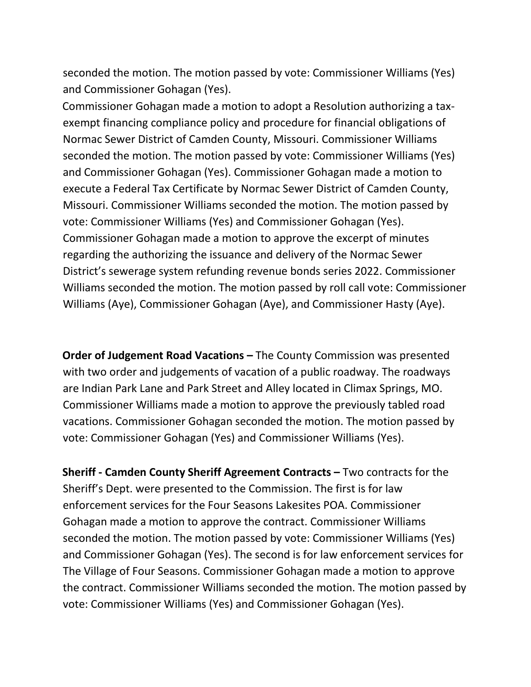seconded the motion. The motion passed by vote: Commissioner Williams (Yes) and Commissioner Gohagan (Yes).

Commissioner Gohagan made a motion to adopt a Resolution authorizing a taxexempt financing compliance policy and procedure for financial obligations of Normac Sewer District of Camden County, Missouri. Commissioner Williams seconded the motion. The motion passed by vote: Commissioner Williams (Yes) and Commissioner Gohagan (Yes). Commissioner Gohagan made a motion to execute a Federal Tax Certificate by Normac Sewer District of Camden County, Missouri. Commissioner Williams seconded the motion. The motion passed by vote: Commissioner Williams (Yes) and Commissioner Gohagan (Yes). Commissioner Gohagan made a motion to approve the excerpt of minutes regarding the authorizing the issuance and delivery of the Normac Sewer District's sewerage system refunding revenue bonds series 2022. Commissioner Williams seconded the motion. The motion passed by roll call vote: Commissioner Williams (Aye), Commissioner Gohagan (Aye), and Commissioner Hasty (Aye).

**Order of Judgement Road Vacations –** The County Commission was presented with two order and judgements of vacation of a public roadway. The roadways are Indian Park Lane and Park Street and Alley located in Climax Springs, MO. Commissioner Williams made a motion to approve the previously tabled road vacations. Commissioner Gohagan seconded the motion. The motion passed by vote: Commissioner Gohagan (Yes) and Commissioner Williams (Yes).

**Sheriff - Camden County Sheriff Agreement Contracts –** Two contracts for the Sheriff's Dept. were presented to the Commission. The first is for law enforcement services for the Four Seasons Lakesites POA. Commissioner Gohagan made a motion to approve the contract. Commissioner Williams seconded the motion. The motion passed by vote: Commissioner Williams (Yes) and Commissioner Gohagan (Yes). The second is for law enforcement services for The Village of Four Seasons. Commissioner Gohagan made a motion to approve the contract. Commissioner Williams seconded the motion. The motion passed by vote: Commissioner Williams (Yes) and Commissioner Gohagan (Yes).